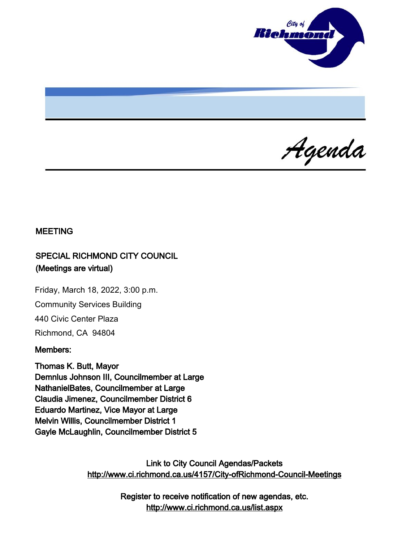

Agenda

### MEETING

# SPECIAL RICHMOND CITY COUNCIL (Meetings are virtual)

Friday, March 18, 2022, 3:00 p.m. Community Services Building 440 Civic Center Plaza Richmond, CA 94804

#### Members:

Thomas K. Butt, Mayor Demnlus Johnson III, Councilmember at Large NathanielBates, Councilmember at Large Claudia Jimenez, Councilmember District 6 Eduardo Martinez, Vice Mayor at Large Melvin Willis, Councilmember District 1 Gayle McLaughlin, Councilmember District 5

> Link to City Council Agendas/Packets <http://www.ci.richmond.ca.us/4157/City-ofRichmond-Council-Meetings>

> > Register to receive notification of new agendas, etc. <http://www.ci.richmond.ca.us/list.aspx>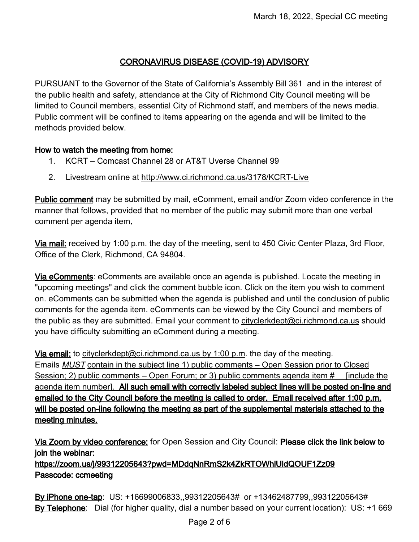# CORONAVIRUS DISEASE (COVID-19) ADVISORY

PURSUANT to the Governor of the State of California's Assembly Bill 361 and in the interest of the public health and safety, attendance at the City of Richmond City Council meeting will be limited to Council members, essential City of Richmond staff, and members of the news media. Public comment will be confined to items appearing on the agenda and will be limited to the methods provided below.

#### How to watch the meeting from home:

- 1. KCRT Comcast Channel 28 or AT&T Uverse Channel 99
- 2. Livestream online at <http://www.ci.richmond.ca.us/3178/KCRT-Live>

Public comment may be submitted by mail, eComment, email and/or Zoom video conference in the manner that follows, provided that no member of the public may submit more than one verbal comment per agenda item.

Via mail: received by 1:00 p.m. the day of the meeting, sent to 450 Civic Center Plaza, 3rd Floor, Office of the Clerk, Richmond, CA 94804.

Via eComments: eComments are available once an agenda is published. Locate the meeting in "upcoming meetings" and click the comment bubble icon. Click on the item you wish to comment on. eComments can be submitted when the agenda is published and until the conclusion of public comments for the agenda item. eComments can be viewed by the City Council and members of the public as they are submitted. Email your comment to [cityclerkdept@ci.richmond.ca.us](mailto:cityclerkdept@ci.richmond.ca.us) should you have difficulty submitting an eComment during a meeting.

Via email: to [cityclerkdept@ci.richmond.ca.us](mailto:cityclerkdept@ci.richmond.ca.us) by 1:00 p.m. the day of the meeting. Emails MUST contain in the subject line 1) public comments – Open Session prior to Closed Session; 2) public comments – Open Forum; or 3) public comments agenda item # [include the agenda item number]. All such email with correctly labeled subject lines will be posted on-line and emailed to the City Council before the meeting is called to order. Email received after 1:00 p.m. will be posted on-line following the meeting as part of the supplemental materials attached to the meeting minutes.

Via Zoom by video conference: for Open Session and City Council: Please click the link below to join the webinar:

https://zoom.us/j/99312205643?pwd=MDdqNnRmS2k4ZkRTOWhlUldQOUF1Zz09 Passcode: ccmeeting

By iPhone one-tap: US: +16699006833,,99312205643# or +13462487799,,99312205643# By Telephone: Dial (for higher quality, dial a number based on your current location): US: +1 669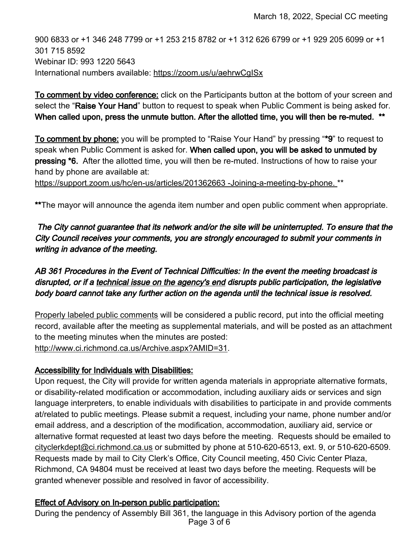900 6833 or +1 346 248 7799 or +1 253 215 8782 or +1 312 626 6799 or +1 929 205 6099 or +1 301 715 8592 Webinar ID: 993 1220 5643 International numbers available: <https://zoom.us/u/aehrwCgISx>

To comment by video conference: click on the Participants button at the bottom of your screen and select the "Raise Your Hand" button to request to speak when Public Comment is being asked for. When called upon, press the unmute button. After the allotted time, you will then be re-muted. \*\*

To comment by phone: you will be prompted to "Raise Your Hand" by pressing "\*9" to request to speak when Public Comment is asked for. When called upon, you will be asked to unmuted by pressing \*6. After the allotted time, you will then be re-muted. Instructions of how to raise your hand by phone are available at:

[https://support.zoom.us/hc/en-us/articles/201362663 -Joining-a-meeting-by-phone.](https://support.zoom.us/hc/en-us/articles/201362663%20-Joining-a-meeting-by-phone.) \*\*

\*\*The mayor will announce the agenda item number and open public comment when appropriate.

The City cannot guarantee that its network and/or the site will be uninterrupted. To ensure that the City Council receives your comments, you are strongly encouraged to submit your comments in writing in advance of the meeting.

# AB 361 Procedures in the Event of Technical Difficulties: In the event the meeting broadcast is disrupted, or if a technical issue on the agency's end disrupts public participation, the legislative body board cannot take any further action on the agenda until the technical issue is resolved.

Properly labeled public comments will be considered a public record, put into the official meeting record, available after the meeting as supplemental materials, and will be posted as an attachment to the meeting minutes when the minutes are posted: [http://www.ci.richmond.ca.us/Archive.aspx?AMID=31.](http://www.ci.richmond.ca.us/Archive.aspx?AMID=31)

### Accessibility for Individuals with Disabilities:

Upon request, the City will provide for written agenda materials in appropriate alternative formats, or disability-related modification or accommodation, including auxiliary aids or services and sign language interpreters, to enable individuals with disabilities to participate in and provide comments at/related to public meetings. Please submit a request, including your name, phone number and/or email address, and a description of the modification, accommodation, auxiliary aid, service or alternative format requested at least two days before the meeting. Requests should be emailed to [cityclerkdept@ci.richmond.ca.us](mailto:cityclerkdept@ci.richmond.ca.us) or submitted by phone at 510-620-6513, ext. 9, or 510-620-6509. Requests made by mail to City Clerk's Office, City Council meeting, 450 Civic Center Plaza, Richmond, CA 94804 must be received at least two days before the meeting. Requests will be granted whenever possible and resolved in favor of accessibility.

### Effect of Advisory on In-person public participation:

During the pendency of Assembly Bill 361, the language in this Advisory portion of the agenda Page 3 of 6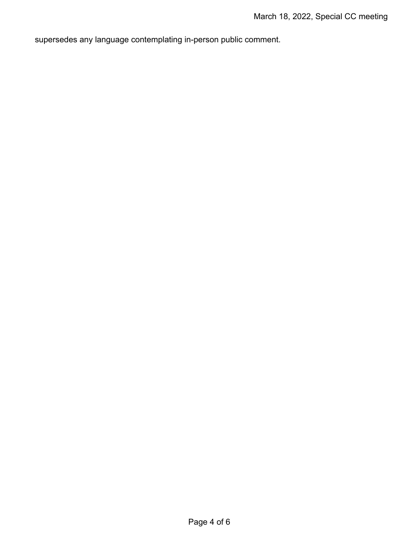supersedes any language contemplating in-person public comment.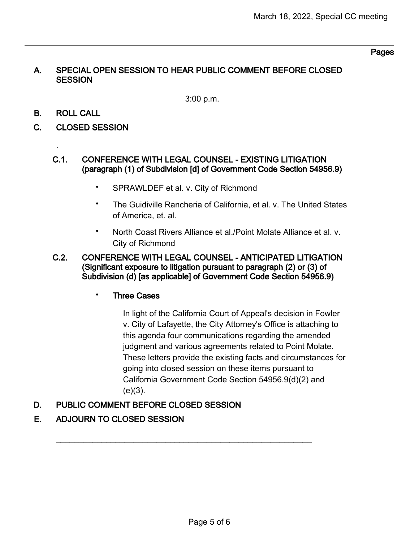#### Pages

#### A. SPECIAL OPEN SESSION TO HEAR PUBLIC COMMENT BEFORE CLOSED **SESSION**

3:00 p.m.

B. ROLL CALL

.

- C. CLOSED SESSION
	- C.1. CONFERENCE WITH LEGAL COUNSEL EXISTING LITIGATION (paragraph (1) of Subdivision [d] of Government Code Section 54956.9)
		- SPRAWLDEF et al. v. City of Richmond
		- The Guidiville Rancheria of California, et al. v. The United States of America, et. al.
		- North Coast Rivers Alliance et al./Point Molate Alliance et al. v. City of Richmond
	- C.2. CONFERENCE WITH LEGAL COUNSEL ANTICIPATED LITIGATION (Significant exposure to litigation pursuant to paragraph (2) or (3) of Subdivision (d) [as applicable] of Government Code Section 54956.9)
		- **Three Cases**

In light of the California Court of Appeal's decision in Fowler v. City of Lafayette, the City Attorney's Office is attaching to this agenda four communications regarding the amended judgment and various agreements related to Point Molate. These letters provide the existing facts and circumstances for going into closed session on these items pursuant to California Government Code Section 54956.9(d)(2) and  $(e)(3)$ .

### D. PUBLIC COMMENT BEFORE CLOSED SESSION

### E. ADJOURN TO CLOSED SESSION

 $\overline{\phantom{a}}$  , and the contribution of the contribution of the contribution of the contribution of the contribution of the contribution of the contribution of the contribution of the contribution of the contribution of the